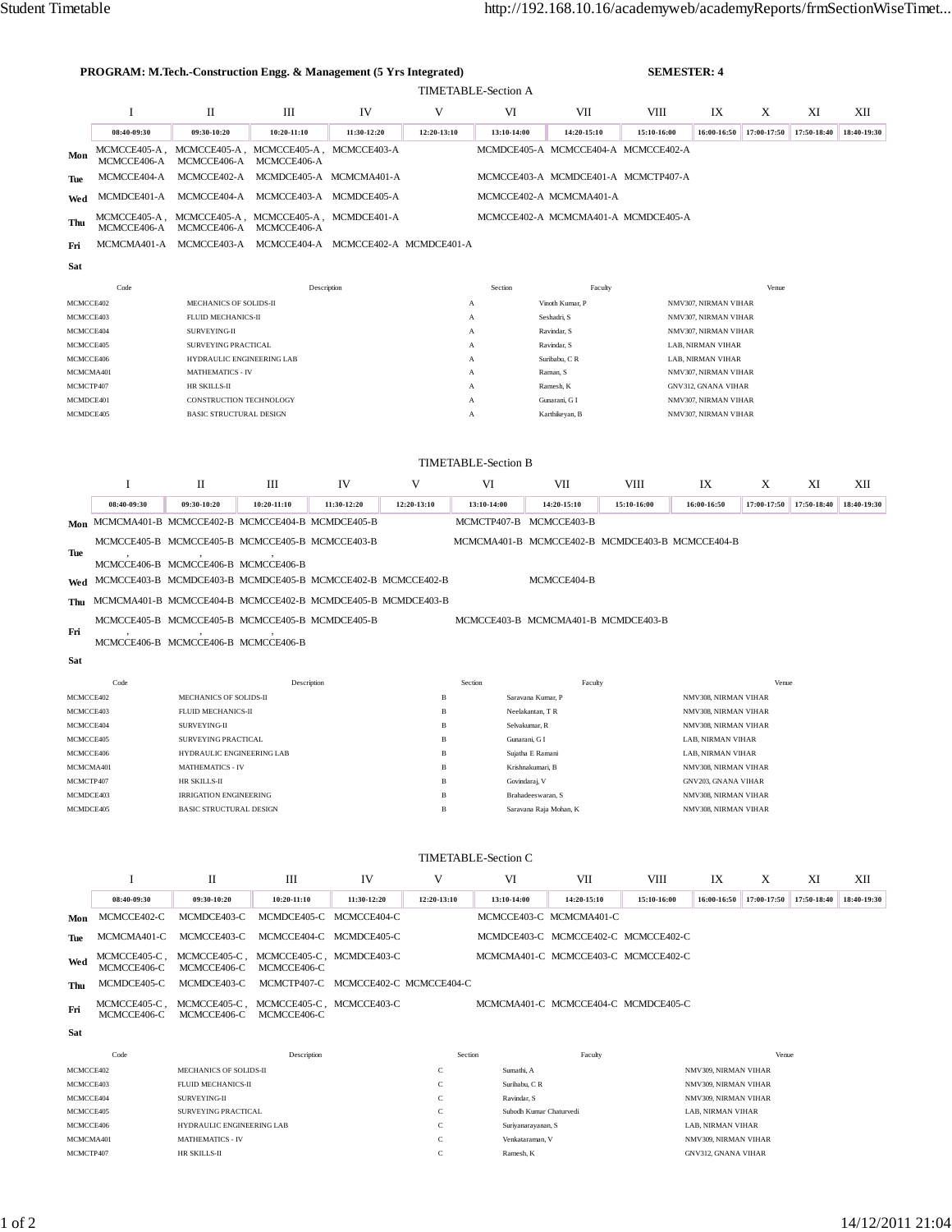|            | <b>PROGRAM: M.Tech.-Construction Engg. &amp; Management (5 Yrs Integrated)</b> |                                                  |                                                                               |                                     |                   |                                  | <b>SEMESTER: 4</b>                                                         |                     |                                           |             |                   |             |
|------------|--------------------------------------------------------------------------------|--------------------------------------------------|-------------------------------------------------------------------------------|-------------------------------------|-------------------|----------------------------------|----------------------------------------------------------------------------|---------------------|-------------------------------------------|-------------|-------------------|-------------|
|            | <b>TIMETABLE-Section A</b>                                                     |                                                  |                                                                               |                                     |                   |                                  |                                                                            |                     |                                           |             |                   |             |
|            | <b>I</b>                                                                       | П                                                | Ш                                                                             | IV                                  | V                 | VI                               | VII                                                                        | VIII                | IX                                        | X           | XI                | XII         |
|            | 08:40-09:30                                                                    | 09:30-10:20                                      | $10:20 - 11:10$                                                               | 11:30-12:20                         | 12:20-13:10       | 13:10-14:00                      | 14:20-15:10                                                                | 15:10-16:00         | 16:00-16:50                               | 17:00-17:50 | 17:50-18:40       | 18:40-19:30 |
| Mon        |                                                                                |                                                  | MCMCCE405-A, MCMCCE405-A, MCMCCE405-A, MCMCCE403-A                            |                                     |                   |                                  | MCMDCE405-A MCMCCE404-A MCMCCE402-A                                        |                     |                                           |             |                   |             |
|            | MCMCCE406-A                                                                    | MCMCCE406-A                                      | MCMCCE406-A                                                                   |                                     |                   |                                  |                                                                            |                     |                                           |             |                   |             |
| Tue        | MCMCCE404-A                                                                    | MCMCCE402-A                                      | MCMDCE405-A MCMCMA401-A                                                       |                                     |                   |                                  | MCMCCE403-A MCMDCE401-A MCMCTP407-A                                        |                     |                                           |             |                   |             |
| Wed        | MCMDCE401-A                                                                    |                                                  | MCMCCE404-A MCMCCE403-A MCMDCE405-A                                           |                                     |                   |                                  | MCMCCE402-A MCMCMA401-A                                                    |                     |                                           |             |                   |             |
| Thu        | MCMCCE406-A                                                                    |                                                  | MCMCCE405-A, MCMCCE405-A, MCMCCE405-A, MCMDCE401-A<br>MCMCCE406-A MCMCCE406-A |                                     |                   |                                  | MCMCCE402-A MCMCMA401-A MCMDCE405-A                                        |                     |                                           |             |                   |             |
| Fri        |                                                                                |                                                  | MCMCMA401-A MCMCCE403-A MCMCCE404-A MCMCCE402-A MCMDCE401-A                   |                                     |                   |                                  |                                                                            |                     |                                           |             |                   |             |
| Sat        |                                                                                |                                                  |                                                                               |                                     |                   |                                  |                                                                            |                     |                                           |             |                   |             |
|            | Code                                                                           |                                                  | Description                                                                   |                                     |                   | Section                          | Faculty                                                                    |                     |                                           | Venue       |                   |             |
|            | MCMCCE402                                                                      | MECHANICS OF SOLIDS-II                           |                                                                               |                                     |                   | $\mathbf{A}$                     | Vinoth Kumar, P                                                            |                     | NMV307, NIRMAN VIHAR                      |             |                   |             |
|            | MCMCCE403                                                                      | FLUID MECHANICS-II                               |                                                                               |                                     |                   | $\mathbf{A}$                     | Seshadri, S                                                                |                     | NMV307, NIRMAN VIHAR                      |             |                   |             |
|            | MCMCCE404                                                                      | SURVEYING-II                                     |                                                                               |                                     |                   | $\mathbf{A}$                     | Ravindar, S                                                                |                     | NMV307, NIRMAN VIHAR                      |             |                   |             |
|            | MCMCCE405<br>MCMCCE406                                                         | SURVEYING PRACTICAL<br>HYDRAULIC ENGINEERING LAB |                                                                               |                                     |                   | $\mathbf{A}$<br>A                | Ravindar, S<br>Suribabu, C R                                               |                     | LAB, NIRMAN VIHAR<br>LAB, NIRMAN VIHAR    |             |                   |             |
|            | MCMCMA401                                                                      | <b>MATHEMATICS - IV</b>                          |                                                                               |                                     |                   | A                                | Raman, S                                                                   |                     | NMV307, NIRMAN VIHAR                      |             |                   |             |
|            | MCMCTP407                                                                      | HR SKILLS-II                                     |                                                                               |                                     |                   | A                                | Ramesh, K                                                                  |                     | GNV312, GNANA VIHAR                       |             |                   |             |
|            | MCMDCE401                                                                      | CONSTRUCTION TECHNOLOGY                          |                                                                               |                                     |                   | A                                | Gunarani, G I                                                              |                     | NMV307, NIRMAN VIHAR                      |             |                   |             |
|            | MCMDCE405                                                                      | <b>BASIC STRUCTURAL DESIGN</b>                   |                                                                               |                                     |                   | A                                | Karthikeyan, B                                                             |                     | NMV307, NIRMAN VIHAR                      |             |                   |             |
|            |                                                                                |                                                  |                                                                               |                                     |                   |                                  |                                                                            |                     |                                           |             |                   |             |
|            |                                                                                |                                                  |                                                                               |                                     |                   | <b>TIMETABLE-Section B</b>       |                                                                            |                     |                                           |             |                   |             |
|            | 1                                                                              | $_{\rm II}$                                      | Ш                                                                             | IV                                  | V                 | VI                               | VII                                                                        | VIII                | IX                                        | X           | XI                | XII         |
|            | 08:40-09:30                                                                    | 09:30-10:20                                      | $10:20 - 11:10$                                                               | 11:30-12:20                         | 12:20-13:10       | 13:10-14:00                      | 14:20-15:10                                                                | 15:10-16:00         | 16:00-16:50                               | 17:00-17:50 | 17:50-18:40       | 18:40-19:30 |
|            | Mon MCMCMA401-B MCMCCE402-B MCMCCE404-B MCMDCE405-B                            |                                                  |                                                                               |                                     |                   | MCMCTP407-B MCMCCE403-B          |                                                                            |                     |                                           |             |                   |             |
|            |                                                                                |                                                  | MCMCCE405-B MCMCCE405-B MCMCCE405-B MCMCCE403-B                               |                                     |                   |                                  | MCMCMA401-B MCMCCE402-B MCMDCE403-B MCMCCE404-B                            |                     |                                           |             |                   |             |
| Tue        |                                                                                | MCMCCE406-B MCMCCE406-B MCMCCE406-B              |                                                                               |                                     |                   |                                  |                                                                            |                     |                                           |             |                   |             |
| Wed        |                                                                                |                                                  | MCMCCE403-B MCMDCE403-B MCMDCE405-B MCMCCE402-B MCMCCE402-B                   |                                     |                   |                                  | MCMCCE404-B                                                                |                     |                                           |             |                   |             |
| Thu        |                                                                                |                                                  | MCMCMA401-B MCMCCE404-B MCMCCE402-B MCMDCE405-B MCMDCE403-B                   |                                     |                   |                                  |                                                                            |                     |                                           |             |                   |             |
|            |                                                                                |                                                  | MCMCCE405-B MCMCCE405-B MCMCCE405-B MCMDCE405-B                               |                                     |                   |                                  | MCMCCE403-B MCMCMA401-B MCMDCE403-B                                        |                     |                                           |             |                   |             |
| Fri        |                                                                                | MCMCCE406-B MCMCCE406-B MCMCCE406-B              |                                                                               |                                     |                   |                                  |                                                                            |                     |                                           |             |                   |             |
|            |                                                                                |                                                  |                                                                               |                                     |                   |                                  |                                                                            |                     |                                           |             |                   |             |
| Sat        |                                                                                |                                                  |                                                                               |                                     |                   |                                  |                                                                            |                     |                                           |             |                   |             |
|            | Code                                                                           |                                                  | Description                                                                   |                                     |                   | Section                          | Faculty                                                                    |                     |                                           | Venue       |                   |             |
|            | MCMCCE402                                                                      | MECHANICS OF SOLIDS-II                           |                                                                               |                                     | $\mathbf{B}$      | Saravana Kumar, P                |                                                                            |                     | NMV308, NIRMAN VIHAR                      |             |                   |             |
|            | MCMCCE403                                                                      | FLUID MECHANICS-II                               |                                                                               |                                     | $\mathbf{B}$      | Neelakantan, TR                  |                                                                            |                     | NMV308, NIRMAN VIHAR                      |             |                   |             |
|            | MCMCCE404<br>MCMCCE405                                                         | SURVEYING-II<br>SURVEYING PRACTICAL              |                                                                               |                                     | $\mathbf{B}$<br>B | Selvakumar, R<br>Gunarani, G I   |                                                                            |                     | NMV308, NIRMAN VIHAR<br>LAB, NIRMAN VIHAR |             |                   |             |
|            | MCMCCE406                                                                      | HYDRAULIC ENGINEERING LAB                        |                                                                               |                                     | в                 | Sujatha E Ramani                 |                                                                            |                     | LAB, NIRMAN VIHAR                         |             |                   |             |
|            | MCMCMA401                                                                      | <b>MATHEMATICS - IV</b>                          |                                                                               |                                     | B                 | Krishnakumari, B                 |                                                                            |                     | NMV308, NIRMAN VIHAR                      |             |                   |             |
|            | MCMCTP407                                                                      | HR SKILLS-II                                     |                                                                               |                                     | в                 | Govindaraj, V                    |                                                                            |                     | GNV203, GNANA VIHAR                       |             |                   |             |
|            | MCMDCE403                                                                      | <b>IRRIGATION ENGINEERING</b>                    |                                                                               | в                                   | Brahadeeswaran, S |                                  | NMV308, NIRMAN VIHAR                                                       |                     |                                           |             |                   |             |
|            | MCMDCE405                                                                      | <b>BASIC STRUCTURAL DESIGN</b>                   |                                                                               |                                     | в                 |                                  | Saravana Raja Mohan, K                                                     |                     | NMV308, NIRMAN VIHAR                      |             |                   |             |
|            |                                                                                |                                                  |                                                                               |                                     |                   |                                  |                                                                            |                     |                                           |             |                   |             |
|            | 1                                                                              | П                                                | Ш                                                                             | IV                                  | V                 | <b>TIMETABLE-Section C</b><br>VI |                                                                            |                     |                                           | X           |                   | XII         |
|            | 08:40-09:30                                                                    | 09:30-10:20                                      | 10:20-11:10                                                                   | 11:30-12:20                         | 12:20-13:10       | 13:10-14:00                      | VII<br>14:20-15:10                                                         | VIII<br>15:10-16:00 | IX<br>16:00-16:50                         | 17:00-17:50 | XI<br>17:50-18:40 | 18:40-19:30 |
|            | MCMCCE402-C                                                                    | MCMDCE403-C                                      |                                                                               | MCMDCE405-C MCMCCE404-C             |                   |                                  | MCMCCE403-C MCMCMA401-C                                                    |                     |                                           |             |                   |             |
| Mon        |                                                                                |                                                  |                                                                               |                                     |                   |                                  |                                                                            |                     |                                           |             |                   |             |
| Tue        | MCMCMA401-C<br>MCMCCE405-C,                                                    | MCMCCE403-C<br>MCMCCE405-C,                      | MCMCCE405-C, MCMDCE403-C                                                      | MCMCCE404-C MCMDCE405-C             |                   |                                  | MCMDCE403-C MCMCCE402-C MCMCCE402-C<br>MCMCMA401-C MCMCCE403-C MCMCCE402-C |                     |                                           |             |                   |             |
|            |                                                                                |                                                  |                                                                               |                                     |                   |                                  |                                                                            |                     |                                           |             |                   |             |
| Wed<br>Thu | MCMCCE406-C<br>MCMDCE405-C                                                     | MCMCCE406-C<br>MCMDCE403-C                       | MCMCCE406-C                                                                   | MCMCTP407-C MCMCCE402-C MCMCCE404-C |                   |                                  |                                                                            |                     |                                           |             |                   |             |

**Sat**

| Code      | Description               | Section               | Faculty                 | Venue                      |
|-----------|---------------------------|-----------------------|-------------------------|----------------------------|
| MCMCCE402 | MECHANICS OF SOLIDS-II    |                       | Sumathi, A              | NMV309, NIRMAN VIHAR       |
| MCMCCE403 | FLUID MECHANICS-II        | $\sim$                | Suribabu, CR            | NMV309, NIRMAN VIHAR       |
| MCMCCE404 | SURVEYING-II              |                       | Ravindar, S.            | NMV309, NIRMAN VIHAR       |
| MCMCCE405 | SURVEYING PRACTICAL       |                       | Subodh Kumar Chaturvedi | LAB. NIRMAN VIHAR          |
| MCMCCE406 | HYDRAULIC ENGINEERING LAB | $\tilde{\phantom{a}}$ | Suriyanarayanan, S      | LAB, NIRMAN VIHAR          |
| MCMCMA401 | <b>MATHEMATICS - IV</b>   |                       | Venkataraman, V         | NMV309, NIRMAN VIHAR       |
| MCMCTP407 | HR SKILLS-II              |                       | Ramesh, K               | <b>GNV312, GNANA VIHAR</b> |